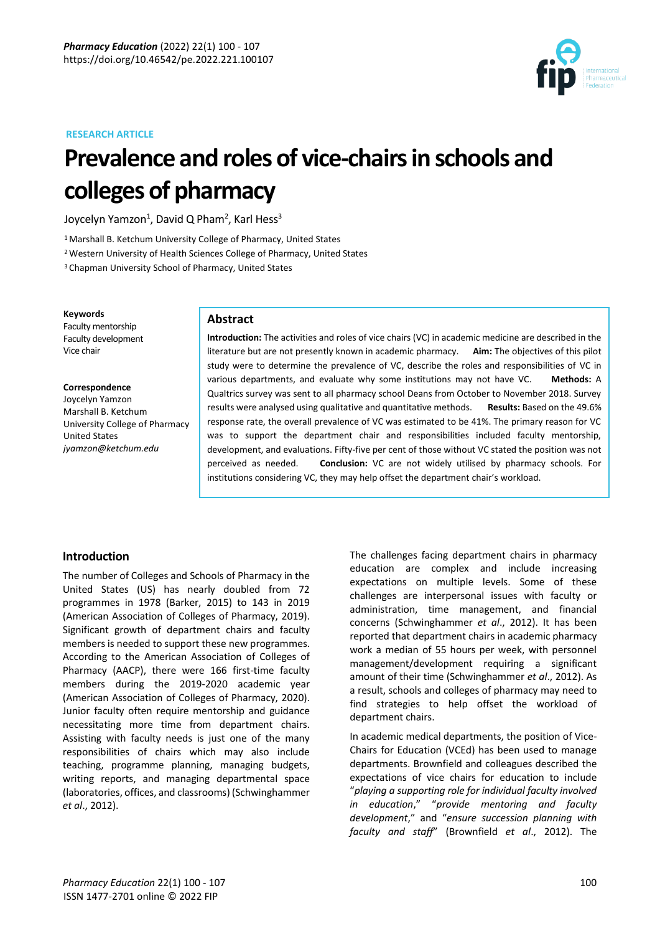



# **Prevalence and roles of vice-chairsin schools and colleges of pharmacy**

Joycelyn Yamzon $^1$ , David Q Pham $^2$ , Karl Hess $^3$ 

<sup>1</sup> Marshall B. Ketchum University College of Pharmacy, United States

<sup>2</sup>Western University of Health Sciences College of Pharmacy, United States

<sup>3</sup> Chapman University School of Pharmacy, United States

#### **Keywords**

Faculty mentorship Faculty development Vice chair

#### **Correspondence**

Joycelyn Yamzon Marshall B. Ketchum University College of Pharmacy United States *jyamzon@ketchum.edu*

### **Abstract**

**Introduction:** The activities and roles of vice chairs (VC) in academic medicine are described in the literature but are not presently known in academic pharmacy. **Aim:** The objectives of this pilot study were to determine the prevalence of VC, describe the roles and responsibilities of VC in various departments, and evaluate why some institutions may not have VC. **Methods:** A Qualtrics survey was sent to all pharmacy school Deans from October to November 2018. Survey results were analysed using qualitative and quantitative methods. **Results:** Based on the 49.6% response rate, the overall prevalence of VC was estimated to be 41%. The primary reason for VC was to support the department chair and responsibilities included faculty mentorship, development, and evaluations. Fifty-five per cent of those without VC stated the position was not perceived as needed. **Conclusion:** VC are not widely utilised by pharmacy schools. For institutions considering VC, they may help offset the department chair's workload.

# **Introduction**

The number of Colleges and Schools of Pharmacy in the United States (US) has nearly doubled from 72 programmes in 1978 (Barker, 2015) to 143 in 2019 (American Association of Colleges of Pharmacy, 2019). Significant growth of department chairs and faculty members is needed to support these new programmes. According to the American Association of Colleges of Pharmacy (AACP), there were 166 first-time faculty members during the 2019-2020 academic year (American Association of Colleges of Pharmacy, 2020). Junior faculty often require mentorship and guidance necessitating more time from department chairs. Assisting with faculty needs is just one of the many responsibilities of chairs which may also include teaching, programme planning, managing budgets, writing reports, and managing departmental space (laboratories, offices, and classrooms) (Schwinghammer *et al*., 2012).

The challenges facing department chairs in pharmacy education are complex and include increasing expectations on multiple levels. Some of these challenges are interpersonal issues with faculty or administration, time management, and financial concerns (Schwinghammer *et al*., 2012). It has been reported that department chairs in academic pharmacy work a median of 55 hours per week, with personnel management/development requiring a significant amount of their time (Schwinghammer *et al*., 2012). As a result, schools and colleges of pharmacy may need to find strategies to help offset the workload of department chairs.

In academic medical departments, the position of Vice-Chairs for Education (VCEd) has been used to manage departments. Brownfield and colleagues described the expectations of vice chairs for education to include "*playing a supporting role for individual faculty involved in education*," "*provide mentoring and faculty development*," and "*ensure succession planning with faculty and staff*" (Brownfield *et al*., 2012). The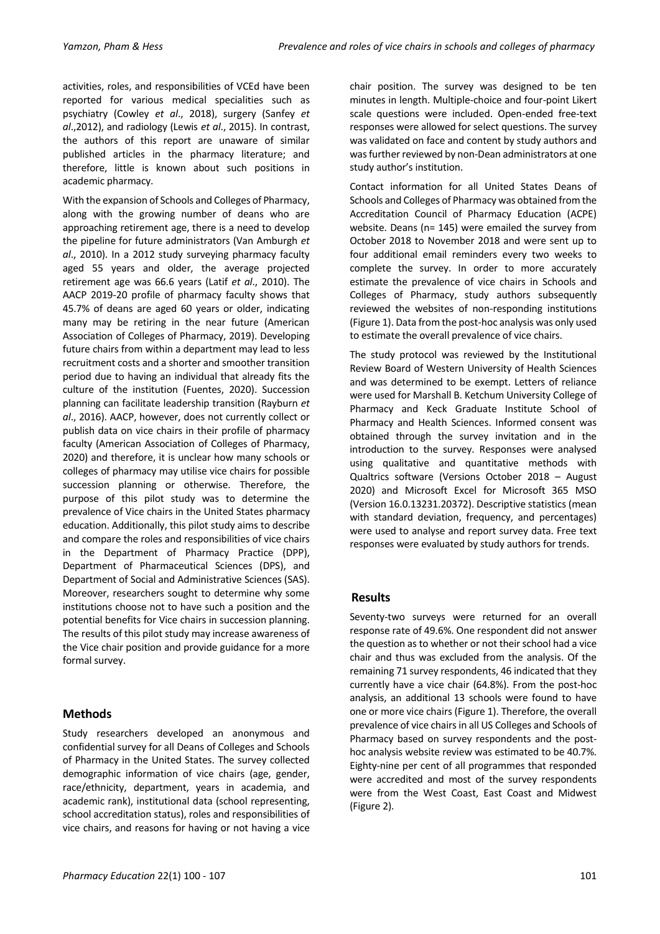activities, roles, and responsibilities of VCEd have been reported for various medical specialities such as psychiatry (Cowley *et al*., 2018), surgery (Sanfey *et al*.,2012), and radiology (Lewis *et al*., 2015). In contrast, the authors of this report are unaware of similar published articles in the pharmacy literature; and therefore, little is known about such positions in academic pharmacy.

With the expansion of Schools and Colleges of Pharmacy, along with the growing number of deans who are approaching retirement age, there is a need to develop the pipeline for future administrators (Van Amburgh *et al*., 2010). In a 2012 study surveying pharmacy faculty aged 55 years and older, the average projected retirement age was 66.6 years (Latif *et al*., 2010). The AACP 2019-20 profile of pharmacy faculty shows that 45.7% of deans are aged 60 years or older, indicating many may be retiring in the near future (American Association of Colleges of Pharmacy, 2019). Developing future chairs from within a department may lead to less recruitment costs and a shorter and smoother transition period due to having an individual that already fits the culture of the institution (Fuentes, 2020). Succession planning can facilitate leadership transition (Rayburn *et al*., 2016). AACP, however, does not currently collect or publish data on vice chairs in their profile of pharmacy faculty (American Association of Colleges of Pharmacy, 2020) and therefore, it is unclear how many schools or colleges of pharmacy may utilise vice chairs for possible succession planning or otherwise. Therefore, the purpose of this pilot study was to determine the prevalence of Vice chairs in the United States pharmacy education. Additionally, this pilot study aims to describe and compare the roles and responsibilities of vice chairs in the Department of Pharmacy Practice (DPP), Department of Pharmaceutical Sciences (DPS), and Department of Social and Administrative Sciences (SAS). Moreover, researchers sought to determine why some institutions choose not to have such a position and the potential benefits for Vice chairs in succession planning. The results of this pilot study may increase awareness of the Vice chair position and provide guidance for a more formal survey.

# **Methods**

Study researchers developed an anonymous and confidential survey for all Deans of Colleges and Schools of Pharmacy in the United States. The survey collected demographic information of vice chairs (age, gender, race/ethnicity, department, years in academia, and academic rank), institutional data (school representing, school accreditation status), roles and responsibilities of vice chairs, and reasons for having or not having a vice chair position. The survey was designed to be ten minutes in length. Multiple-choice and four-point Likert scale questions were included. Open-ended free-text responses were allowed for select questions. The survey was validated on face and content by study authors and was further reviewed by non-Dean administrators at one study author's institution.

Contact information for all United States Deans of Schools and Colleges of Pharmacy was obtained from the Accreditation Council of Pharmacy Education (ACPE) website. Deans (n= 145) were emailed the survey from October 2018 to November 2018 and were sent up to four additional email reminders every two weeks to complete the survey. In order to more accurately estimate the prevalence of vice chairs in Schools and Colleges of Pharmacy, study authors subsequently reviewed the websites of non-responding institutions (Figure 1). Data from the post-hoc analysis was only used to estimate the overall prevalence of vice chairs.

The study protocol was reviewed by the Institutional Review Board of Western University of Health Sciences and was determined to be exempt. Letters of reliance were used for Marshall B. Ketchum University College of Pharmacy and Keck Graduate Institute School of Pharmacy and Health Sciences. Informed consent was obtained through the survey invitation and in the introduction to the survey. Responses were analysed using qualitative and quantitative methods with Qualtrics software (Versions October 2018 – August 2020) and Microsoft Excel for Microsoft 365 MSO (Version 16.0.13231.20372). Descriptive statistics (mean with standard deviation, frequency, and percentages) were used to analyse and report survey data. Free text responses were evaluated by study authors for trends.

# **Results**

Seventy-two surveys were returned for an overall response rate of 49.6%. One respondent did not answer the question as to whether or not their school had a vice chair and thus was excluded from the analysis. Of the remaining 71 survey respondents, 46 indicated that they currently have a vice chair (64.8%). From the post-hoc analysis, an additional 13 schools were found to have one or more vice chairs (Figure 1). Therefore, the overall prevalence of vice chairs in all US Colleges and Schools of Pharmacy based on survey respondents and the posthoc analysis website review was estimated to be 40.7%. Eighty-nine per cent of all programmes that responded were accredited and most of the survey respondents were from the West Coast, East Coast and Midwest (Figure 2).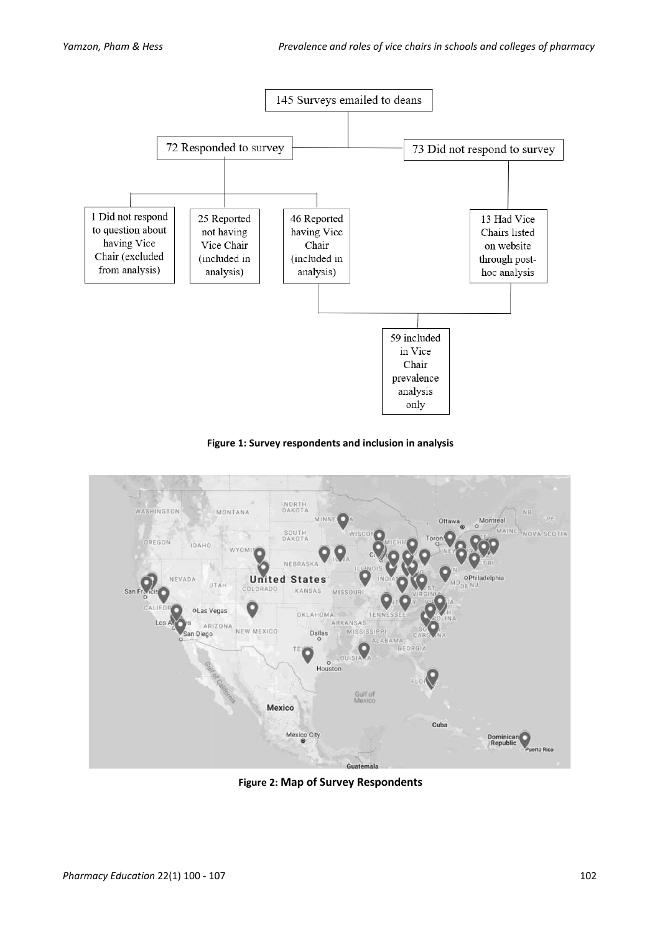





**Figure 2: Map of Survey Respondents**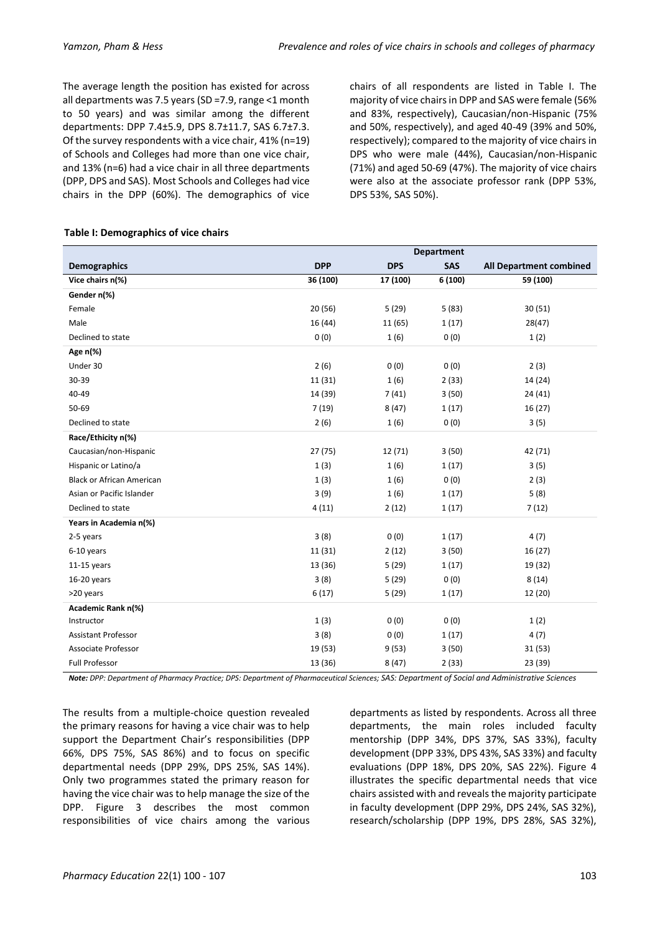The average length the position has existed for across all departments was 7.5 years (SD =7.9, range <1 month to 50 years) and was similar among the different departments: DPP 7.4±5.9, DPS 8.7±11.7, SAS 6.7±7.3. Of the survey respondents with a vice chair, 41% (n=19) of Schools and Colleges had more than one vice chair, and 13% (n=6) had a vice chair in all three departments (DPP, DPS and SAS). Most Schools and Colleges had vice chairs in the DPP (60%). The demographics of vice

chairs of all respondents are listed in Table I. The majority of vice chairs in DPP and SAS were female (56% and 83%, respectively), Caucasian/non-Hispanic (75% and 50%, respectively), and aged 40-49 (39% and 50%, respectively); compared to the majority of vice chairs in DPS who were male (44%), Caucasian/non-Hispanic (71%) and aged 50-69 (47%). The majority of vice chairs were also at the associate professor rank (DPP 53%, DPS 53%, SAS 50%).

|                                  | <b>Department</b> |            |         |                         |
|----------------------------------|-------------------|------------|---------|-------------------------|
| <b>Demographics</b>              | <b>DPP</b>        | <b>DPS</b> | SAS     | All Department combined |
| Vice chairs n(%)                 | 36 (100)          | 17 (100)   | 6 (100) | 59 (100)                |
| Gender n(%)                      |                   |            |         |                         |
| Female                           | 20 (56)           | 5(29)      | 5(83)   | 30(51)                  |
| Male                             | 16 (44)           | 11 (65)    | 1(17)   | 28(47)                  |
| Declined to state                | 0(0)              | 1(6)       | 0(0)    | 1(2)                    |
| Age n(%)                         |                   |            |         |                         |
| Under 30                         | 2(6)              | 0(0)       | 0(0)    | 2(3)                    |
| 30-39                            | 11 (31)           | 1(6)       | 2(33)   | 14 (24)                 |
| 40-49                            | 14 (39)           | 7(41)      | 3(50)   | 24(41)                  |
| 50-69                            | 7(19)             | 8(47)      | 1(17)   | 16 (27)                 |
| Declined to state                | 2(6)              | 1(6)       | 0(0)    | 3(5)                    |
| Race/Ethicity n(%)               |                   |            |         |                         |
| Caucasian/non-Hispanic           | 27(75)            | 12 (71)    | 3(50)   | 42 (71)                 |
| Hispanic or Latino/a             | 1(3)              | 1(6)       | 1(17)   | 3(5)                    |
| <b>Black or African American</b> | 1(3)              | 1(6)       | 0(0)    | 2(3)                    |
| Asian or Pacific Islander        | 3(9)              | 1(6)       | 1(17)   | 5(8)                    |
| Declined to state                | 4(11)             | 2(12)      | 1(17)   | 7(12)                   |
| Years in Academia n(%)           |                   |            |         |                         |
| 2-5 years                        | 3(8)              | 0(0)       | 1(17)   | 4(7)                    |
| 6-10 years                       | 11 (31)           | 2(12)      | 3(50)   | 16(27)                  |
| $11-15$ years                    | 13 (36)           | 5(29)      | 1(17)   | 19 (32)                 |
| 16-20 years                      | 3(8)              | 5(29)      | 0(0)    | 8(14)                   |
| >20 years                        | 6(17)             | 5(29)      | 1(17)   | 12 (20)                 |
| Academic Rank n(%)               |                   |            |         |                         |
| Instructor                       | 1(3)              | 0(0)       | 0(0)    | 1(2)                    |
| <b>Assistant Professor</b>       | 3(8)              | 0(0)       | 1(17)   | 4(7)                    |
| <b>Associate Professor</b>       | 19 (53)           | 9(53)      | 3(50)   | 31(53)                  |
| <b>Full Professor</b>            | 13 (36)           | 8(47)      | 2(33)   | 23 (39)                 |

#### **Table I: Demographics of vice chairs**

*Note: DPP: Department of Pharmacy Practice; DPS: Department of Pharmaceutical Sciences; SAS: Department of Social and Administrative Sciences*

The results from a multiple-choice question revealed the primary reasons for having a vice chair was to help support the Department Chair's responsibilities (DPP 66%, DPS 75%, SAS 86%) and to focus on specific departmental needs (DPP 29%, DPS 25%, SAS 14%). Only two programmes stated the primary reason for having the vice chair was to help manage the size of the DPP. Figure 3 describes the most common responsibilities of vice chairs among the various departments as listed by respondents. Across all three departments, the main roles included faculty mentorship (DPP 34%, DPS 37%, SAS 33%), faculty development (DPP 33%, DPS 43%, SAS 33%) and faculty evaluations (DPP 18%, DPS 20%, SAS 22%). Figure 4 illustrates the specific departmental needs that vice chairs assisted with and reveals the majority participate in faculty development (DPP 29%, DPS 24%, SAS 32%), research/scholarship (DPP 19%, DPS 28%, SAS 32%),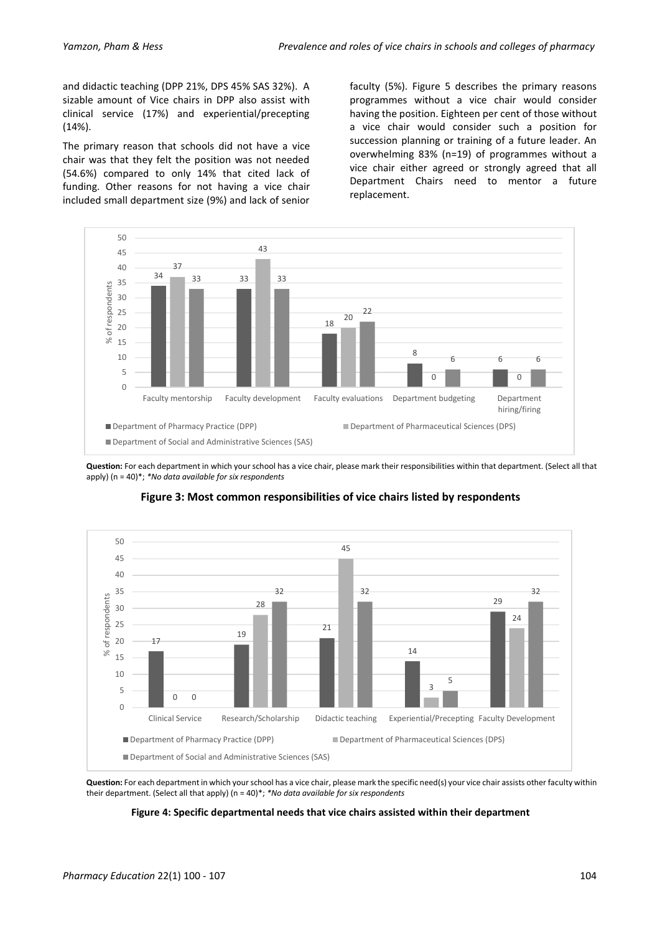and didactic teaching (DPP 21%, DPS 45% SAS 32%). A sizable amount of Vice chairs in DPP also assist with clinical service (17%) and experiential/precepting (14%).

The primary reason that schools did not have a vice chair was that they felt the position was not needed (54.6%) compared to only 14% that cited lack of funding. Other reasons for not having a vice chair included small department size (9%) and lack of senior

faculty (5%). Figure 5 describes the primary reasons programmes without a vice chair would consider having the position. Eighteen per cent of those without a vice chair would consider such a position for succession planning or training of a future leader. An overwhelming 83% (n=19) of programmes without a vice chair either agreed or strongly agreed that all Department Chairs need to mentor a future replacement.



**Question:** For each department in which your school has a vice chair, please mark their responsibilities within that department. (Select all that apply) (n = 40)\*; *\*No data available for six respondents*



# **Figure 3: Most common responsibilities of vice chairs listed by respondents**

**Question:** For each department in which your school has a vice chair, please mark the specific need(s) your vice chair assists other faculty within their department. (Select all that apply) (n = 40)\*; *\*No data available for six respondents*

#### **Figure 4: Specific departmental needs that vice chairs assisted within their department**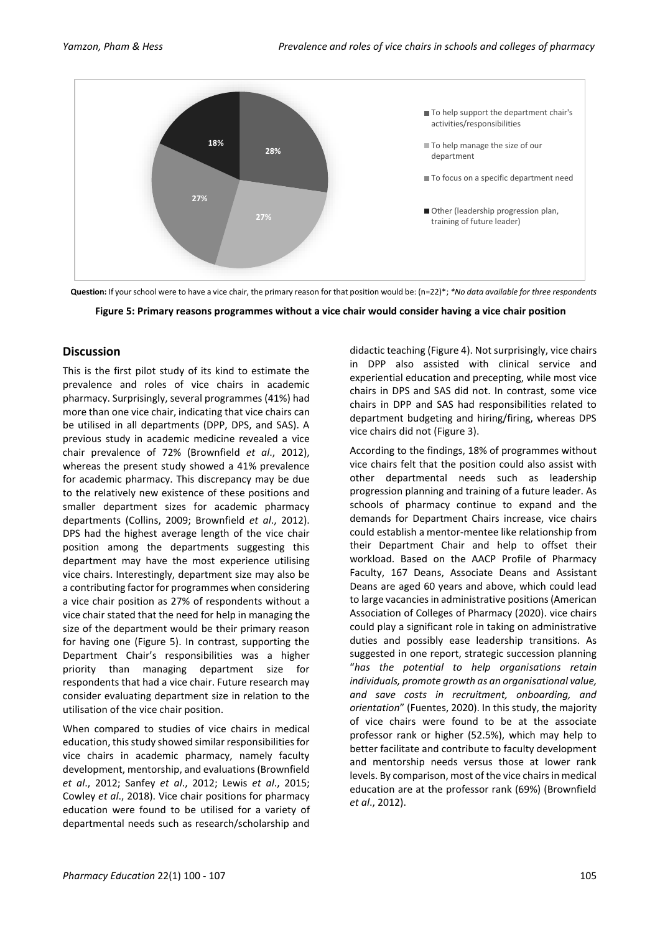

**Question:** If your school were to have a vice chair, the primary reason for that position would be: (n=22)\*; *\*No data available for three respondents*



## **Discussion**

This is the first pilot study of its kind to estimate the prevalence and roles of vice chairs in academic pharmacy. Surprisingly, several programmes (41%) had more than one vice chair, indicating that vice chairs can be utilised in all departments (DPP, DPS, and SAS). A previous study in academic medicine revealed a vice chair prevalence of 72% (Brownfield *et al*., 2012), whereas the present study showed a 41% prevalence for academic pharmacy. This discrepancy may be due to the relatively new existence of these positions and smaller department sizes for academic pharmacy departments (Collins, 2009; Brownfield *et al*., 2012). DPS had the highest average length of the vice chair position among the departments suggesting this department may have the most experience utilising vice chairs. Interestingly, department size may also be a contributing factor for programmes when considering a vice chair position as 27% of respondents without a vice chair stated that the need for help in managing the size of the department would be their primary reason for having one (Figure 5). In contrast, supporting the Department Chair's responsibilities was a higher priority than managing department size for respondents that had a vice chair. Future research may consider evaluating department size in relation to the utilisation of the vice chair position.

When compared to studies of vice chairs in medical education, this study showed similar responsibilities for vice chairs in academic pharmacy, namely faculty development, mentorship, and evaluations (Brownfield *et al*., 2012; Sanfey *et al*., 2012; Lewis *et al*., 2015; Cowley *et al*., 2018). Vice chair positions for pharmacy education were found to be utilised for a variety of departmental needs such as research/scholarship and

didactic teaching (Figure 4). Not surprisingly, vice chairs in DPP also assisted with clinical service and experiential education and precepting, while most vice chairs in DPS and SAS did not. In contrast, some vice chairs in DPP and SAS had responsibilities related to department budgeting and hiring/firing, whereas DPS vice chairs did not (Figure 3).

According to the findings, 18% of programmes without vice chairs felt that the position could also assist with other departmental needs such as leadership progression planning and training of a future leader. As schools of pharmacy continue to expand and the demands for Department Chairs increase, vice chairs could establish a mentor-mentee like relationship from their Department Chair and help to offset their workload. Based on the AACP Profile of Pharmacy Faculty, 167 Deans, Associate Deans and Assistant Deans are aged 60 years and above, which could lead to large vacancies in administrative positions (American Association of Colleges of Pharmacy (2020). vice chairs could play a significant role in taking on administrative duties and possibly ease leadership transitions. As suggested in one report, strategic succession planning "*has the potential to help organisations retain individuals, promote growth as an organisational value, and save costs in recruitment, onboarding, and orientation*" (Fuentes, 2020). In this study, the majority of vice chairs were found to be at the associate professor rank or higher (52.5%), which may help to better facilitate and contribute to faculty development and mentorship needs versus those at lower rank levels. By comparison, most of the vice chairs in medical education are at the professor rank (69%) (Brownfield *et al*., 2012).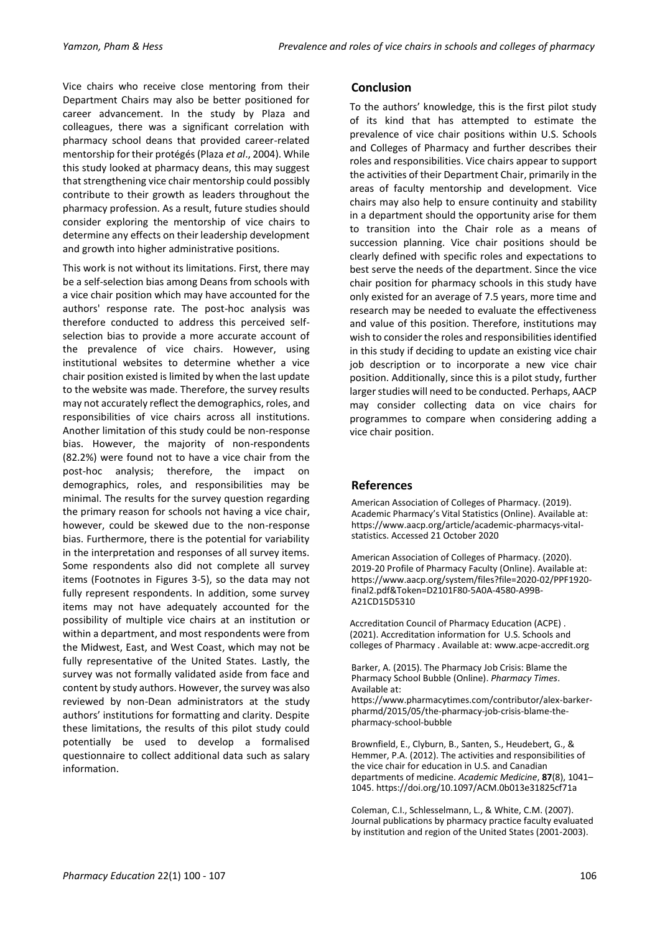Vice chairs who receive close mentoring from their Department Chairs may also be better positioned for career advancement. In the study by Plaza and colleagues, there was a significant correlation with pharmacy school deans that provided career-related mentorship for their protégés (Plaza *et al*., 2004). While this study looked at pharmacy deans, this may suggest that strengthening vice chair mentorship could possibly contribute to their growth as leaders throughout the pharmacy profession. As a result, future studies should consider exploring the mentorship of vice chairs to determine any effects on their leadership development and growth into higher administrative positions.

This work is not without its limitations. First, there may be a self-selection bias among Deans from schools with a vice chair position which may have accounted for the authors' response rate. The post-hoc analysis was therefore conducted to address this perceived selfselection bias to provide a more accurate account of the prevalence of vice chairs. However, using institutional websites to determine whether a vice chair position existed is limited by when the last update to the website was made. Therefore, the survey results may not accurately reflect the demographics, roles, and responsibilities of vice chairs across all institutions. Another limitation of this study could be non-response bias. However, the majority of non-respondents (82.2%) were found not to have a vice chair from the post-hoc analysis; therefore, the impact on demographics, roles, and responsibilities may be minimal. The results for the survey question regarding the primary reason for schools not having a vice chair, however, could be skewed due to the non-response bias. Furthermore, there is the potential for variability in the interpretation and responses of all survey items. Some respondents also did not complete all survey items (Footnotes in Figures 3-5), so the data may not fully represent respondents. In addition, some survey items may not have adequately accounted for the possibility of multiple vice chairs at an institution or within a department, and most respondents were from the Midwest, East, and West Coast, which may not be fully representative of the United States. Lastly, the survey was not formally validated aside from face and content by study authors. However, the survey was also reviewed by non-Dean administrators at the study authors' institutions for formatting and clarity. Despite these limitations, the results of this pilot study could potentially be used to develop a formalised questionnaire to collect additional data such as salary information.

# **Conclusion**

To the authors' knowledge, this is the first pilot study of its kind that has attempted to estimate the prevalence of vice chair positions within U.S. Schools and Colleges of Pharmacy and further describes their roles and responsibilities. Vice chairs appear to support the activities of their Department Chair, primarily in the areas of faculty mentorship and development. Vice chairs may also help to ensure continuity and stability in a department should the opportunity arise for them to transition into the Chair role as a means of succession planning. Vice chair positions should be clearly defined with specific roles and expectations to best serve the needs of the department. Since the vice chair position for pharmacy schools in this study have only existed for an average of 7.5 years, more time and research may be needed to evaluate the effectiveness and value of this position. Therefore, institutions may wish to consider the roles and responsibilities identified in this study if deciding to update an existing vice chair job description or to incorporate a new vice chair position. Additionally, since this is a pilot study, further larger studies will need to be conducted. Perhaps, AACP may consider collecting data on vice chairs for programmes to compare when considering adding a vice chair position.

# **References**

American Association of Colleges of Pharmacy. (2019). Academic Pharmacy's Vital Statistics (Online). Available at: [https://www.aacp.org/article/academic-pharmacys-vital](https://www.aacp.org/article/academic-pharmacys-vital-statistics.%20Accessed%2021%20October%202020)[statistics. Accessed 21 October 2020](https://www.aacp.org/article/academic-pharmacys-vital-statistics.%20Accessed%2021%20October%202020)

American Association of Colleges of Pharmacy. (2020). 2019-20 Profile of Pharmacy Faculty (Online). Available at: [https://www.aacp.org/system/files?file=2020-02/PPF1920](https://www.aacp.org/system/files?file=2020-02/PPF1920-final2.pdf&Token=D2101F80-5A0A-4580-A99B-A21CD15D5310) [final2.pdf&Token=D2101F80-5A0A-4580-A99B-](https://www.aacp.org/system/files?file=2020-02/PPF1920-final2.pdf&Token=D2101F80-5A0A-4580-A99B-A21CD15D5310)[A21CD15D5310](https://www.aacp.org/system/files?file=2020-02/PPF1920-final2.pdf&Token=D2101F80-5A0A-4580-A99B-A21CD15D5310)

Accreditation Council of Pharmacy Education (ACPE) . (2021). Accreditation information for U.S. Schools and colleges of Pharmacy . Available at[: www.acpe-accredit.org](http://www.acpe-accredit.org/)

Barker, A. (2015). The Pharmacy Job Crisis: Blame the Pharmacy School Bubble (Online). *Pharmacy Times*. Available at:

[https://www.pharmacytimes.com/contributor/alex-barker](https://www.pharmacytimes.com/contributor/alex-barker-pharmd/2015/05/the-pharmacy-job-crisis-blame-the-pharmacy-school-bubble)[pharmd/2015/05/the-pharmacy-job-crisis-blame-the](https://www.pharmacytimes.com/contributor/alex-barker-pharmd/2015/05/the-pharmacy-job-crisis-blame-the-pharmacy-school-bubble)[pharmacy-school-bubble](https://www.pharmacytimes.com/contributor/alex-barker-pharmd/2015/05/the-pharmacy-job-crisis-blame-the-pharmacy-school-bubble)

Brownfield, E., Clyburn, B., Santen, S., Heudebert, G., & Hemmer, P.A. (2012). The activities and responsibilities of the vice chair for education in U.S. and Canadian departments of medicine. *Academic Medicine*, **87**(8), 1041– 1045[. https://doi.org/10.1097/ACM.0b013e31825cf71a](https://doi.org/10.1097/ACM.0b013e31825cf71a)

Coleman, C.I., Schlesselmann, L., & White, C.M. (2007). Journal publications by pharmacy practice faculty evaluated by institution and region of the United States (2001-2003).